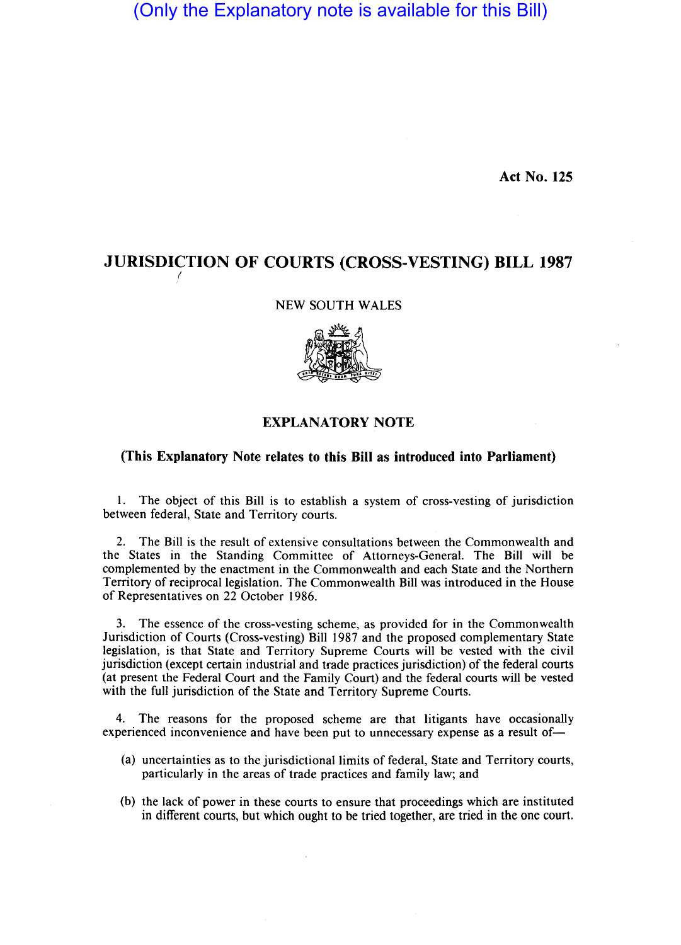(Only the Explanatory note is available for this Bill)

Act No. 125

# JURISDICTION OF COURTS (CROSS-VESTING) BILL 1987

# NEW SOUTH WALES



# EXPLANATORY NOTE

# (This Explanatory Note relates to this Bill as introduced into Parliament)

1. The object of this Bill is to establish a system of cross-vesting of jurisdiction between federal, State and Territory courts.

2. The Bill is the result of extensive consultations between the Commonwealth and the States in the Standing Committee of Attorneys-General. The Bill will be complemented by the enactment in the Commonwealth and each State and the Northern Territory of reciprocal legislation. The Commonwealth Bill was introduced in the House of Representatives on 22 October 1986.

3. The essence of the cross-vesting scheme, as provided for in the Commonwealth Jurisdiction of Courts (Cross-vesting) Bill 1987 and the proposed complementary State legislation, is that State and Territory Supreme Courts will be vested with the civil jurisdiction (except certain industrial and trade practices jurisdiction) of the federal courts (at present the Federal Court and the Family Court) and the federal courts will be vested with the full jurisdiction of the State and Territory Supreme Courts.

4. The reasons for the proposed scheme are that litigants have occasionally experienced inconvenience and have been put to unnecessary expense as a result of-

- (a) uncertainties as to the jurisdictional limits of federal, State and Territory courts, particularly in the areas of trade practices and family law; and
- (b) the lack of power in these courts to ensure that proceedings which are instituted in different courts, but which ought to be tried together, are tried in the one court.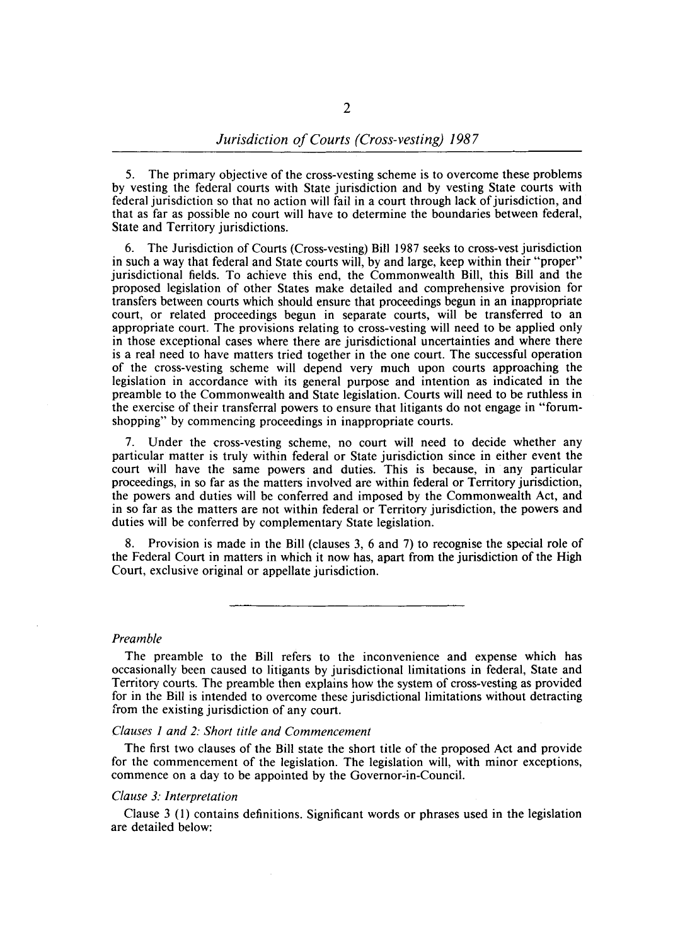5. The primary objective of the cross-vesting scheme is to overcome these problems by vesting the federal courts with State jurisdiction and by vesting State courts with federal jurisdiction so that no action will fail in a court through lack of jurisdiction, and that as far as possible no court will have to determine the boundaries between federal, State and Territory jurisdictions.

6. The Jurisdiction of Courts (Cross-vesting) Bill 1987 seeks to cross-vest jurisdiction in such a way that federal and State courts will, by and large, keep within their "proper" jurisdictional fields. To achieve this end, the Commonwealth Bill, this Bill and the proposed legislation of other States make detailed and comprehensive provision for transfers between courts which should ensure that proceedings begun in an inappropriate court, or related proceedings begun in separate courts, will be transferred to an appropriate court. The provisions relating to cross-vesting will need to be applied only in those exceptional cases where there are jurisdictional uncertainties and where there is a real need to have matters tried together in the one court. The successful operation of the cross-vesting scheme will depend very much upon courts approaching the legislation in accordance with its general purpose and intention as indicated in the preamble to the Commonwealth and State legislation. Courts will need to be ruthless in the exercise of their transferral powers to ensure that litigants do not engage in "forumshopping" by commencing proceedings in inappropriate courts.

7. Under the cross-vesting scheme, no court will need to decide whether any particular matter is truly within federal or State jurisdiction since in either event the court will have the same powers and duties. This is because, in any particular proceedings, in so far as the matters involved are within federal or Territory jurisdiction, the powers and duties will be conferred and imposed by the Commonwealth Act, and in so far as the matters are not within federal or Territory jurisdiction, the powers and duties will be conferred by complementary State legislation.

8. Provision is made in the Bill (clauses  $3, 6$  and  $7$ ) to recognise the special role of the Federal Court in matters in which it now has, apart from the jurisdiction of the High Court, exclusive original or appellate jurisdiction.

*Preamble* 

The preamble to the Bill refers to the inconvenience and expense which has occasionally been caused to litigants by jurisdictional limitations in federal, State and Territory courts. The preamble then explains how the system of cross-vesting as provided for in the Bill is intended to overcome these jurisdictional limitations without detracting from the existing jurisdiction of any court.

## *Clauses I and* 2: *Short title and Commencement*

The first two clauses of the Bill state the short title of the proposed Act and provide for the commencement of the legislation. The legislation will, with minor exceptions, commence on a day to be appointed by the Governor-in-Council.

#### *Clause* 3: *Interpretation*

Clause 3 (I) contains definitions. Significant words or phrases used in the legislation are detailed below: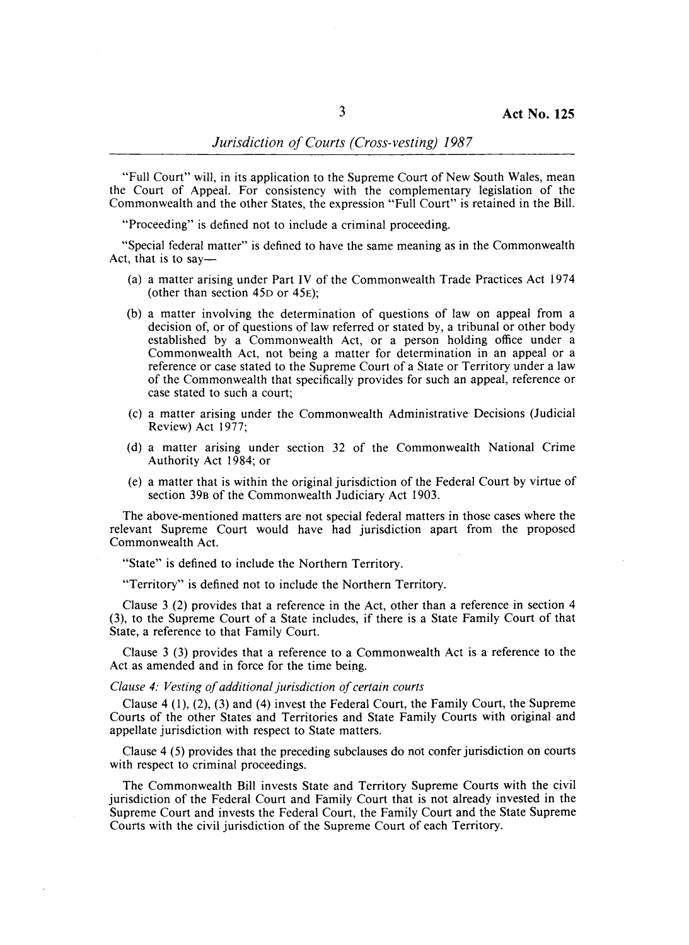"Full Court" will, in its application to the Supreme Court of New South Wales, mean the Court of Appeal. For consistency with the complementary legislation of the Commonwealth and the other States, the expression "Full Court" is retained in the Bill.

"Proceeding" is defined not to include a criminal proceeding.

"Special federal matter" is defined to have the same meaning as in the Commonwealth Act, that is to say—

- (a) a matter arising under Part IV of the Commonwealth Trade Practices Act 1974 (other than section 45D or 45E);
- (b) a matter involving the determination of questions of law on appeal from a decision of, or of questions of law referred or stated by, a tribunal or other body established by a Commonwealth Act, or a person holding office under a Commonwealth Act, not being a matter for determination in an appeal or a reference or case stated to the Supreme Court of a State or Territory under a law of the Commonwealth that specifically provides for such an appeal, reference or case stated to such a court;
- (c) a matter arising under the Commonwealth Administrative Decisions (Judicial Review) Act 1977;
- (d) a matter arising under section 32 of the Commonwealth National Crime Authority Act 1984; or
- (e) a matter that is within the original jurisdiction of the Federal Court by virtue of section 39B of the Commonwealth Judiciary Act 1903.

The above-mentioned matters are not special federal matters in those cases where the relevant Supreme Court would have had jurisdiction apart from the proposed Commonwealth Act.

"State" is defined to include the Northern Territory.

"Territory" is defined not to include the Northern Territory.

Clause 3 (2) provides that a reference in the Act, other than a reference in section 4 (3), to the Supreme Court of a State includes, if there is a State Family Court of that State, a reference to that Family Court.

Clause 3 (3) provides that a reference to a Commonwealth Act is a reference to the Act as amended and in force for the time being.

#### *Clause* 4: *Vesting of additional jurisdiction of certain courts*

Clause 4 (1), (2), (3) and (4) invest the Federal Court, the Family Court, the Supreme Courts of the other States and Territories and State Family Courts with original and appellate jurisdiction with respect to State matters.

Clause 4 (5) provides that the preceding subclauses do not confer jurisdiction on courts with respect to criminal proceedings.

The Commonwealth Bill invests State and Territory Supreme Courts with the civil jurisdiction of the Federal Court and Family Court that is not already invested in the Supreme Court and invests the Federal Court, the Family Court and the State Supreme Courts with the civil jurisdiction of the Supreme Court of each Territory.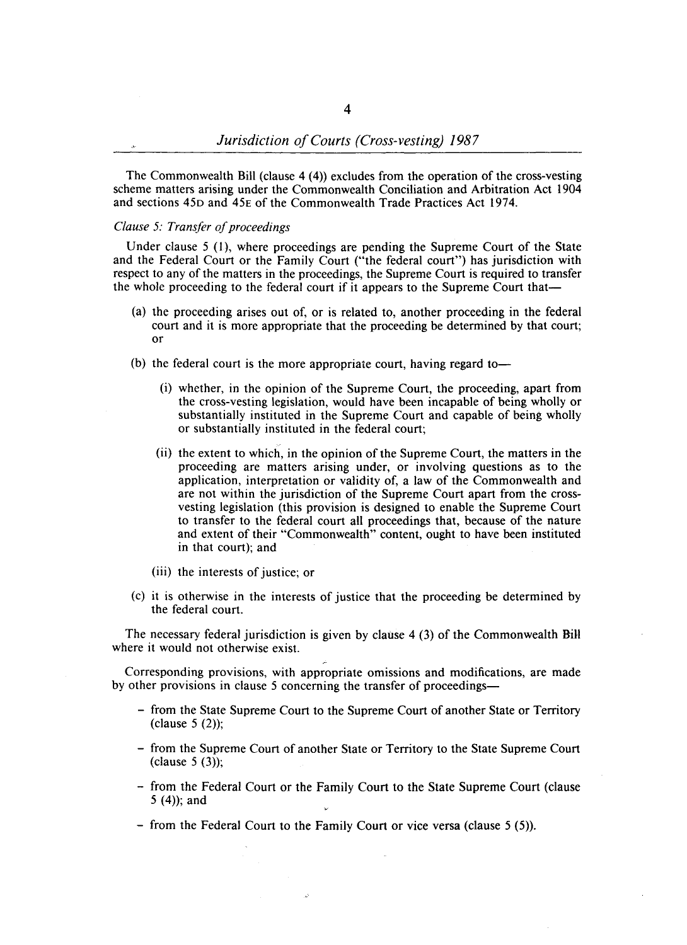The Commonwealth Bill (clause 4 (4)) excludes from the operation of the cross-vesting scheme matters arising under the Commonwealth Conciliation and Arbitration Act 1904 and sections 45D and 45E of the Commonwealth Trade Practices Act 1974.

# *Clause* 5: *Transfer of proceedings*

Under clause  $5$  (1), where proceedings are pending the Supreme Court of the State and the Federal Court or the Family Court ("the federal court") has jurisdiction with respect to any of the matters in the proceedings, the Supreme Court is required to transfer the whole proceeding to the federal court if it appears to the Supreme Court that-

- (a) the proceeding arises out of, or is related to, another proceeding in the federal court and it is more appropriate that the proceeding be determined by that court; or
- (b) the federal court is the more appropriate court, having regard to-
	- (i) whether, in the opinion of the Supreme Court, the proceeding, apart from the cross-vesting legislation, would have been incapable of being wholly or substantially instituted in the Supreme Court and capable of being wholly or substantially instituted in the federal court;
	- (ii) the extent to which, in the opinion of the Supreme Court, the matters in the proceeding are matters arising under, or involving questions as to the application, interpretation or validity of, a law of the Commonwealth and are not within the jurisdiction of the Supreme Court apart from the crossvesting legislation (this provision is designed to enable the Supreme Court to transfer to the federal court all proceedings that, because of the nature and extent of their "Commonwealth" content, ought to have been instituted in that court); and
	- (iii) the interests of justice; or
- (c) it is otherwise in the interests of justice that the proceeding be determined by the federal court.

The necessary federal jurisdiction is given by clause 4 (3) of the Commonwealth BiJI where it would not otherwise exist.

Corresponding provisions, with appropriate omissions and modifications, are made by other provisions in clause 5 concerning the transfer of proceedings-

~

- from the State Supreme Court to the Supreme Court of another State or Territory (clause 5 (2));
- from the Supreme Court of another State or Territory to the State Supreme Court  $clause 5 (3)$ ;
- from the Federal Court or the Family Court to the State Supreme Court (clause 5 (4)); and
- from the Federal Court to the Family Court or vice versa (clause 5 (5».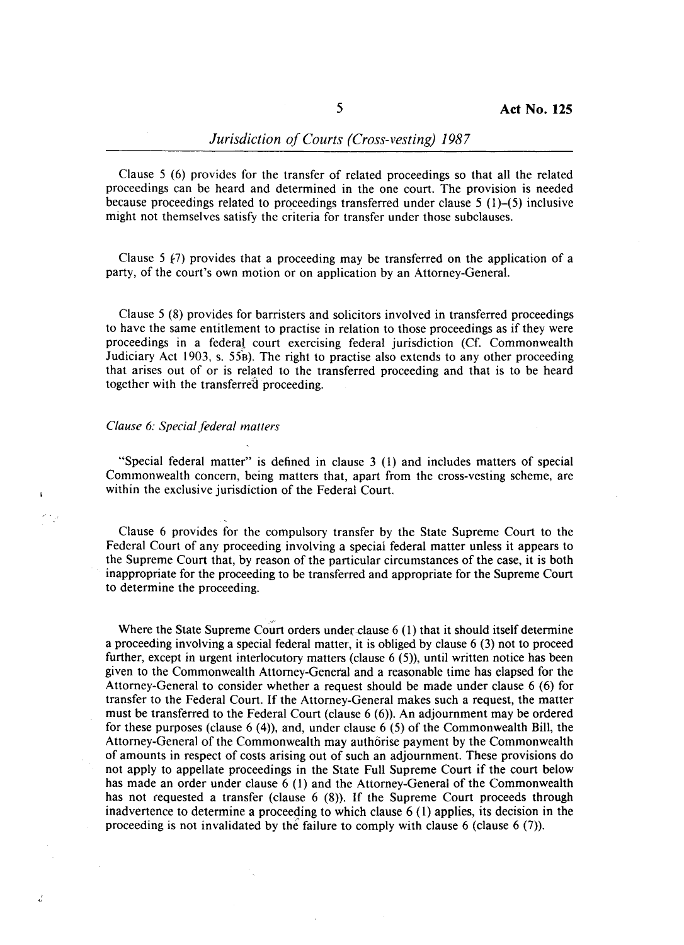Clause 5 (6) provides for the transfer of related proceedings so that all the related proceedings can be heard and determined in the one court. The provision is needed because proceedings related to proceedings transferred under clause  $5(1)$ – $(5)$  inclusive might not themselves satisfy the criteria for transfer under those subclauses.

Clause 5  $f(7)$  provides that a proceeding may be transferred on the application of a party, of the court's own motion or on application by an Attorney-General.

Clause 5 (8) provides for barristers and solicitors involved in transferred proceedings to have the same entitlement to practise in relation to those proceedings as if they were proceedings in a federal court exercising federal jurisdiction (Cf. Commonwealth Judiciary Act  $1903$ , s.  $55B$ ). The right to practise also extends to any other proceeding that arises out of or is related to the transferred proceeding and that is to be heard together with the transferred proceeding.

# *Clause* 6: *Special federal matters*

 $\mathbf{r}$ وإلجام

 $\frac{2}{4}$ 

"Special federal matter" is defined in clause 3 (I) and includes matters of special Commonwealth concern, being matters that, apart from the cross-vesting scheme, are within the exclusive jurisdiction of the Federal Court.

Clause 6 provides for the compulsory transfer by the State Supreme Court to the Federal Court of any proceeding involving a speciai federal matter unless it appears to the Supreme Court that, by reason of the particular circumstances of the case, it is both inappropriate for the proceeding to be transferred and appropriate for the Supreme Court to determine the proceeding.

Where the State Supreme Court orders under clause 6 (1) that it should itself determine a proceeding involving a special federal matter, it is obliged by clause 6 (3) not to proceed further, except in urgent interlocutory matters (clause 6 (5)), until written notice has been given to the Commonwealth Attorney-General and a reasonable time has elapsed for the Attorney-General to consider whether a request should be made under clause 6 (6) for transfer to the Federal Court. If the Attorney-General makes such a request, the matter must be transferred to the Federal Court (clause 6 (6)). An adjournment may be ordered for these purposes (clause 6 (4)), and, under clause 6 (5) of the Commonwealth Bill, the Attorney-General of the Commonwealth may authorise payment by the Commonwealth of amounts in respect of costs arising out of such an adjournment. These provisions do not apply to appellate proceedings in the State Full Supreme Court if the court below has made an order under clause 6 (I) and the Attorney-General of the Commonwealth has not requested a transfer (clause 6 (8)). If the Supreme Court proceeds through inadvertence to determine a proceeding to which clause 6 (I) applies, its decision in the proceeding is not invalidated by the failure to comply with clause 6 (clause 6 (7)).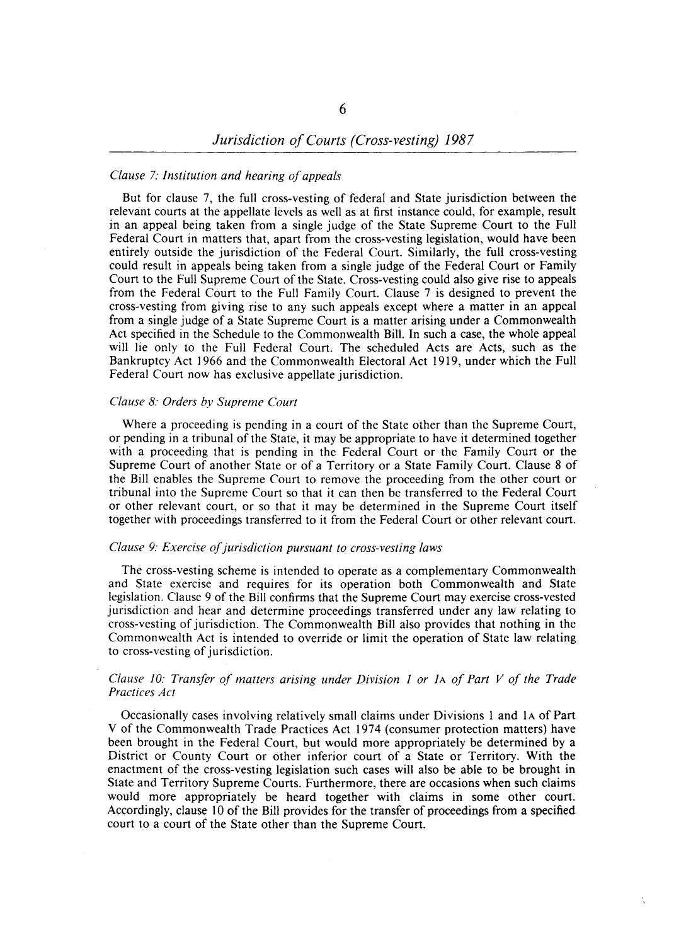# *Clause* 7: *Institution and hearing of appeals*

But for clause 7, the full cross-vesting of federal and State jurisdiction between the relevant courts at the appellate levels as well as at first instance could, for example, result in an appeal being taken from a single judge of the State Supreme Court to the Full Federal Court in matters that, apart from the cross-vesting legislation, would have been entirely outside the jurisdiction of the Federal Court. Similarly, the full cross-vesting could result in appeals being taken from a single judge of the Federal Court or Family Court to the Full Supreme Court of the State. Cross-vesting could also give rise to appeals from the Federal Court to the Full Family Court. Clause 7 is designed to prevent the cross-vesting from giving rise to any such appeals except where a matter in an appeal from a single judge of a State Supreme Court is a matter arising under a Commonwealth Act specified in the Schedule to the Commonwealth Bill. In such a case, the whole appeal will lie only to the Full Federal Court. The scheduled Acts are Acts, such as the Bankruptcy Act 1966 and the Commonwealth Electoral Act 1919, under which the Full Federal Court now has exclusive appellate jurisdiction.

#### *Clause* 8: *Orders by Supreme Court*

Where a proceeding is pending in a court of the State other than the Supreme Court, or pending in a tribunal of the State, it may be appropriate to have it determined together with a proceeding that is pending in the Federal Court or the Family Court or the Supreme Court of another State or of a Territory or a State Family Court. Clause 8 of the Bill enables the Supreme Court to remove the proceeding from the other court or tribunal into the Supreme Court so that it can then be transferred to the Federal Court or other relevant court, or so that it may be determined in the Supreme Court itself together with proceedings transferred to it from the Federal Court or other relevant court.

## *Clause* 9: *Exercise of jurisdiction pursuant to cross-vesting laws*

The cross-vesting scheme is intended to operate as a complementary Commonwealth and State exercise and requires for its operation both Commonwealth and State legislation. Clause 9 of the Bill confirms that the Supreme Court may exercise cross-vested jurisdiction and hear and determine proceedings transferred under any law relating to cross-vesting of jurisdiction. The Commonwealth Bill also provides that nothing in the Commonwealth Act is intended to override or limit the operation of State law relating to cross-vesting of jurisdiction.

### *Clause 10: Transfer of matters arising under Division* 1 *or* lA *of Part V of the Trade Practices Act*

Occasionally cases involving relatively small claims under Divisions I and lA of Part V of the Commonwealth Trade Practices Act 1974 (consumer protection matters) have been brought in the Federal Court, but would more appropriately be determined by a District or County Court or other inferior court of a State or Territory. With the enactment of the cross-vesting legislation such cases will also be able to be brought in State and Territory Supreme Courts. Furthermore, there are occasions when such claims would more appropriately be heard together with claims in some other court. Accordingly, clause 10 of the Bill provides for the transfer of proceedings from a specified court to a court of the State other than the Supreme Court.

Ń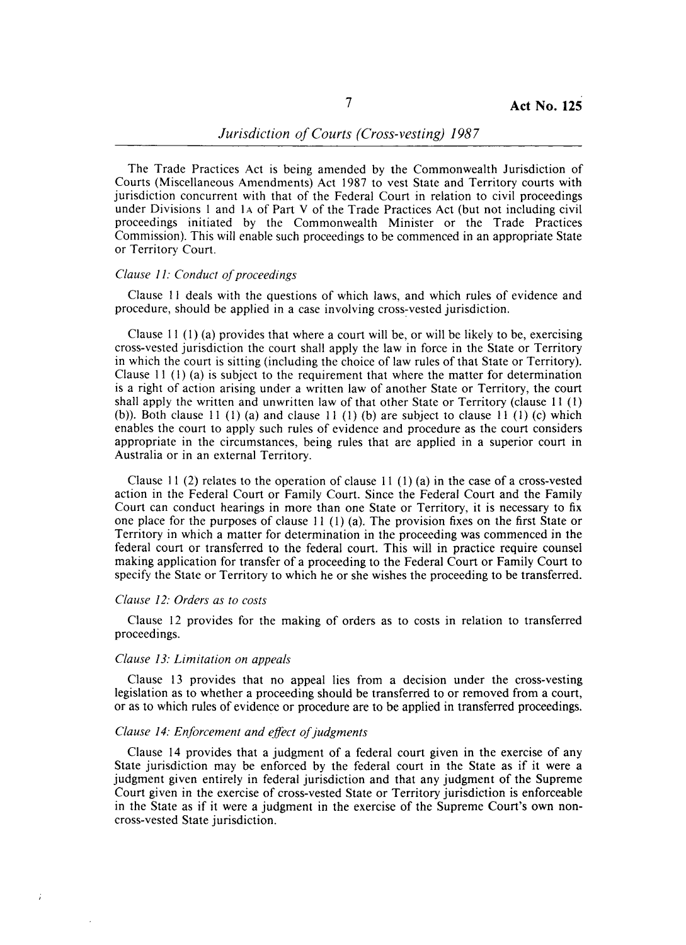The Trade Practices Act is being amended by the Commonwealth Jurisdiction of Courts (Miscellaneous Amendments) Act 1987 to vest State and Territory courts with jurisdiction concurrent with that of the Federal Court in relation to civil proceedings under Divisions 1 and lA of Part V of the Trade Practices Act (but not including civil proceedings initiated by the Commonwealth Minister or the Trade Practices Commission). This will enable such proceedings to be commenced in an appropriate State or Territory Court.

#### *Clause* 11: *Conduct of proceedings*

Clause 11 deals with the questions of which laws, and which rules of evidence and procedure, should be applied in a case involving cross~vested jurisdiction.

Clause 11  $(1)$  (a) provides that where a court will be, or will be likely to be, exercising cross-vested jurisdiction the court shall apply the law in force in the State or Territory in which the court is sitting (including the choice of law rules of that State or Territory). Clause 11 (1) (a) is subject to the requirement that where the matter for determination is a right of action arising under a written law of another State or Territory, the court shall apply the written and unwritten law of that other State or Territory (clause 11 (1) (b)). Both clause 11 (1) (a) and clause 11 (1) (b) are subject to clause 11 (1) (c) which enables the court to apply such rules of evidence and procedure as the court considers appropriate in the circumstances, being rules that are applied in a superior court in Australia or in an external Territory.

Clause 11 (2) relates to the operation of clause 11 (1) (a) in the case of a cross-vested action in the Federal Court or Family Court. Since the Federal Court and the Family Court can conduct hearings in more than one State or Territory, it is necessary to fix one place for the purposes of clause 11 (1) (a). The provision fixes on the first State or Territory in which a matter for determination in the proceeding was commenced in the federal court or transferred to the federal court. This will in practice require counsel making application for transfer of a proceeding to the Federal Court or Family Court to specify the State or Territory to which he or she wishes the proceeding to be transferred.

#### *Clause* 12: *Orders as to costs*

ź

Clause 12 provides for the making of orders as to costs in relation to transferred proceedings.

# *Clause* 13: *Limitation on appeals*

Clause 13 provides that no appeal lies from a decision under the cross-vesting legislation as to whether a proceeding should be transferred to or removed from a court, or as to which rules of evidence or procedure are to be applied in transferred proceedings.

#### *Clause* 14: *Enforcement and effect of judgments*

Clause 14 provides that a judgment of a federal court given in the exercise of any State jurisdiction may be enforced by the federal court in the State as if it were a judgment given entirely in federal jurisdiction and that any judgment of the Supreme Court given in the exercise of cross-vested State or Territory jurisdiction is enforceable in the State as if it were a judgment in the exercise of the Supreme Court's own noncross-vested State jurisdiction.